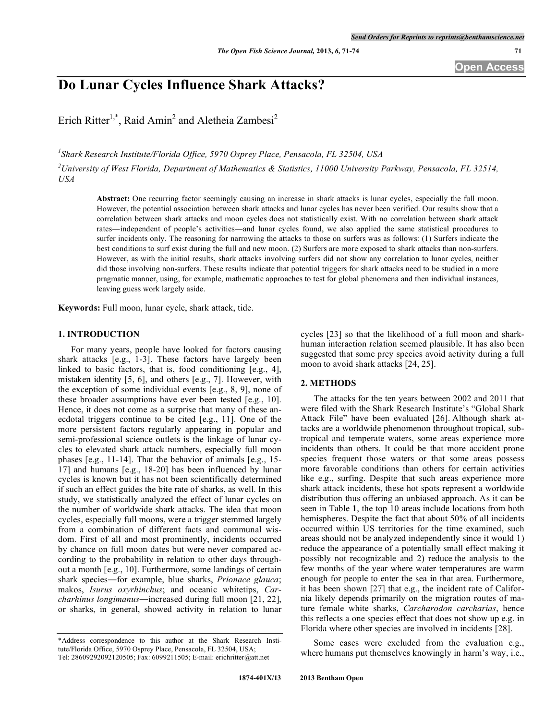# **Do Lunar Cycles Influence Shark Attacks?**

Erich Ritter<sup>1,\*</sup>, Raid Amin<sup>2</sup> and Aletheia Zambesi<sup>2</sup>

*1 Shark Research Institute/Florida Office, 5970 Osprey Place, Pensacola, FL 32504, USA*  $^2$ University of West Florida, Department of Mathematics & Statistics, 11000 University Parkway, Pensacola, FL 32514, *USA*

**Abstract:** One recurring factor seemingly causing an increase in shark attacks is lunar cycles, especially the full moon. However, the potential association between shark attacks and lunar cycles has never been verified. Our results show that a correlation between shark attacks and moon cycles does not statistically exist. With no correlation between shark attack rates―independent of people's activities―and lunar cycles found, we also applied the same statistical procedures to surfer incidents only. The reasoning for narrowing the attacks to those on surfers was as follows: (1) Surfers indicate the best conditions to surf exist during the full and new moon. (2) Surfers are more exposed to shark attacks than non-surfers. However, as with the initial results, shark attacks involving surfers did not show any correlation to lunar cycles, neither did those involving non-surfers. These results indicate that potential triggers for shark attacks need to be studied in a more pragmatic manner, using, for example, mathematic approaches to test for global phenomena and then individual instances, leaving guess work largely aside.

**Keywords:** Full moon, lunar cycle, shark attack, tide.

# **1. INTRODUCTION**

For many years, people have looked for factors causing shark attacks [e.g., 1-3]. These factors have largely been linked to basic factors, that is, food conditioning [e.g., 4], mistaken identity [5, 6], and others [e.g., 7]. However, with the exception of some individual events [e.g., 8, 9], none of these broader assumptions have ever been tested [e.g., 10]. Hence, it does not come as a surprise that many of these anecdotal triggers continue to be cited [e.g., 11]. One of the more persistent factors regularly appearing in popular and semi-professional science outlets is the linkage of lunar cycles to elevated shark attack numbers, especially full moon phases [e.g., 11-14]. That the behavior of animals [e.g., 15- 17] and humans [e.g., 18-20] has been influenced by lunar cycles is known but it has not been scientifically determined if such an effect guides the bite rate of sharks, as well. In this study, we statistically analyzed the effect of lunar cycles on the number of worldwide shark attacks. The idea that moon cycles, especially full moons, were a trigger stemmed largely from a combination of different facts and communal wisdom. First of all and most prominently, incidents occurred by chance on full moon dates but were never compared according to the probability in relation to other days throughout a month [e.g., 10]. Furthermore, some landings of certain shark species―for example, blue sharks, *Prionace glauca*; makos, *Isurus oxyrhinchus*; and oceanic whitetips, *Carcharhinus longimanus*―increased during full moon [21, 22], or sharks, in general, showed activity in relation to lunar

cycles [23] so that the likelihood of a full moon and sharkhuman interaction relation seemed plausible. It has also been suggested that some prey species avoid activity during a full moon to avoid shark attacks [24, 25].

#### **2. METHODS**

The attacks for the ten years between 2002 and 2011 that were filed with the Shark Research Institute's "Global Shark Attack File" have been evaluated [26]. Although shark attacks are a worldwide phenomenon throughout tropical, subtropical and temperate waters, some areas experience more incidents than others. It could be that more accident prone species frequent those waters or that some areas possess more favorable conditions than others for certain activities like e.g., surfing. Despite that such areas experience more shark attack incidents, these hot spots represent a worldwide distribution thus offering an unbiased approach. As it can be seen in Table **1**, the top 10 areas include locations from both hemispheres. Despite the fact that about 50% of all incidents occurred within US territories for the time examined, such areas should not be analyzed independently since it would 1) reduce the appearance of a potentially small effect making it possibly not recognizable and 2) reduce the analysis to the few months of the year where water temperatures are warm enough for people to enter the sea in that area. Furthermore, it has been shown [27] that e.g., the incident rate of California likely depends primarily on the migration routes of mature female white sharks, *Carcharodon carcharias*, hence this reflects a one species effect that does not show up e.g. in Florida where other species are involved in incidents [28].

Some cases were excluded from the evaluation e.g., where humans put themselves knowingly in harm's way, i.e.,

<sup>\*</sup>Address correspondence to this author at the Shark Research Institute/Florida Office, 5970 Osprey Place, Pensacola, FL 32504, USA; Tel: 28609292092120505; Fax: 6099211505; E-mail: erichritter@att.net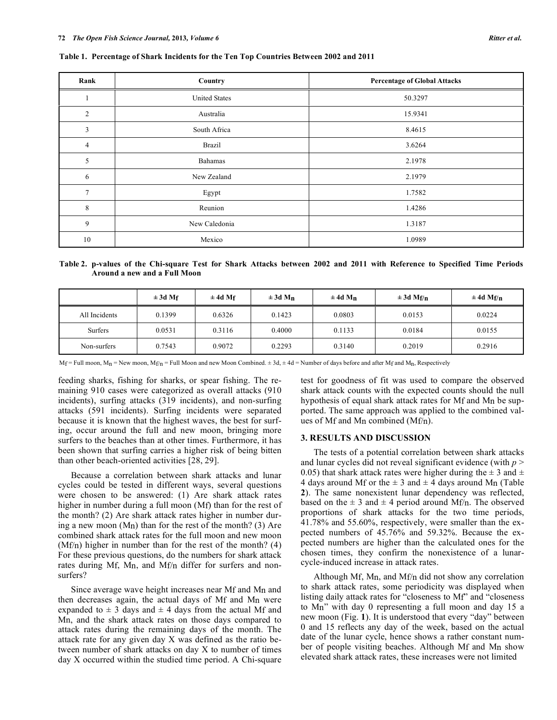| Rank           | Country                         | <b>Percentage of Global Attacks</b> |  |  |
|----------------|---------------------------------|-------------------------------------|--|--|
| -              | <b>United States</b><br>50.3297 |                                     |  |  |
| $\overline{2}$ | Australia                       | 15.9341                             |  |  |
| $\mathfrak{Z}$ | South Africa                    | 8.4615                              |  |  |
| $\overline{4}$ | Brazil                          | 3.6264                              |  |  |
| 5              | Bahamas                         | 2.1978                              |  |  |
| 6              | New Zealand                     | 2.1979                              |  |  |
| 7              | Egypt                           | 1.7582                              |  |  |
| 8              | Reunion                         | 1.4286                              |  |  |
| 9              | New Caledonia                   | 1.3187                              |  |  |
| 10             | Mexico                          | 1.0989                              |  |  |

**Table 1. Percentage of Shark Incidents for the Ten Top Countries Between 2002 and 2011**

Table 2. p-values of the Chi-square Test for Shark Attacks between 2002 and 2011 with Reference to Specified Time Periods **Around a new and a Full Moon**

|               | $\pm 3d$ Mf | $\pm$ 4d Mf | $\pm 3d$ Mn | $\pm 4d$ Mn | $\pm 3d$ Mf/n | $\pm 4d$ Mf/n |
|---------------|-------------|-------------|-------------|-------------|---------------|---------------|
| All Incidents | 0.1399      | 0.6326      | 0.1423      | 0.0803      | 0.0153        | 0.0224        |
| Surfers       | 0.0531      | 0.3116      | 0.4000      | 0.1133      | 0.0184        | 0.0155        |
| Non-surfers   | 0.7543      | 0.9072      | 0.2293      | 0.3140      | 0.2019        | 0.2916        |

 $M_f$  = Full moon,  $M_n$  = New moon,  $M_f/n$  = Full Moon and new Moon Combined.  $\pm$  3d,  $\pm$  4d = Number of days before and after Mf and M<sub>n</sub>, Respectively

feeding sharks, fishing for sharks, or spear fishing. The remaining 910 cases were categorized as overall attacks (910 incidents), surfing attacks (319 incidents), and non-surfing attacks (591 incidents). Surfing incidents were separated because it is known that the highest waves, the best for surfing, occur around the full and new moon, bringing more surfers to the beaches than at other times. Furthermore, it has been shown that surfing carries a higher risk of being bitten than other beach-oriented activities [28, 29].

Because a correlation between shark attacks and lunar cycles could be tested in different ways, several questions were chosen to be answered: (1) Are shark attack rates higher in number during a full moon (Mf) than for the rest of the month? (2) Are shark attack rates higher in number during a new moon (Mn) than for the rest of the month? (3) Are combined shark attack rates for the full moon and new moon (Mf/n) higher in number than for the rest of the month? (4) For these previous questions, do the numbers for shark attack rates during Mf, Mn, and Mf/n differ for surfers and nonsurfers?

Since average wave height increases near Mf and Mn and then decreases again, the actual days of Mf and Mn were expanded to  $\pm$  3 days and  $\pm$  4 days from the actual Mf and Mn, and the shark attack rates on those days compared to attack rates during the remaining days of the month. The attack rate for any given day X was defined as the ratio between number of shark attacks on day X to number of times day X occurred within the studied time period. A Chi-square test for goodness of fit was used to compare the observed shark attack counts with the expected counts should the null hypothesis of equal shark attack rates for Mf and Mn be supported. The same approach was applied to the combined values of Mf and Mn combined (Mf/n).

## **3. RESULTS AND DISCUSSION**

The tests of a potential correlation between shark attacks and lunar cycles did not reveal significant evidence (with *p* > 0.05) that shark attack rates were higher during the  $\pm$  3 and  $\pm$ 4 days around Mf or the  $\pm$  3 and  $\pm$  4 days around Mn (Table **2**). The same nonexistent lunar dependency was reflected, based on the  $\pm 3$  and  $\pm 4$  period around Mf/n. The observed proportions of shark attacks for the two time periods, 41.78% and 55.60%, respectively, were smaller than the expected numbers of 45.76% and 59.32%. Because the expected numbers are higher than the calculated ones for the chosen times, they confirm the nonexistence of a lunarcycle-induced increase in attack rates.

Although Mf, Mn, and Mf/n did not show any correlation to shark attack rates, some periodicity was displayed when listing daily attack rates for "closeness to Mf" and "closeness to Mn" with day 0 representing a full moon and day 15 a new moon (Fig. **1**). It is understood that every "day" between 0 and 15 reflects any day of the week, based on the actual date of the lunar cycle, hence shows a rather constant number of people visiting beaches. Although Mf and Mn show elevated shark attack rates, these increases were not limited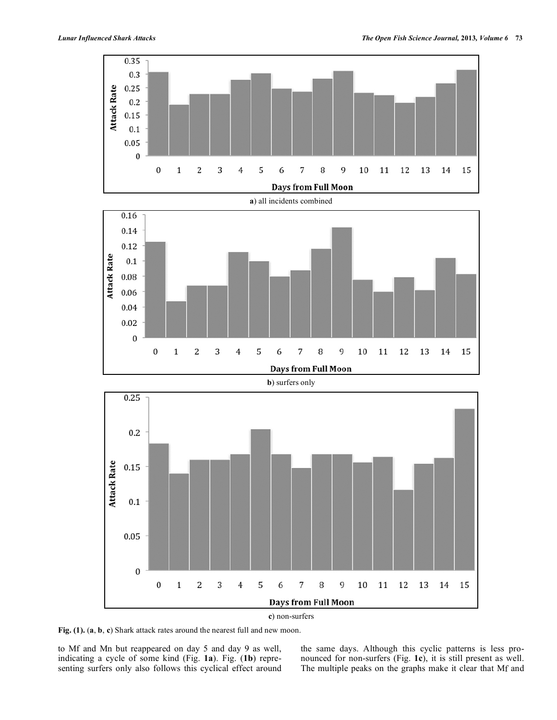

**Fig. (1).** (**a**, **b**, **c**) Shark attack rates around the nearest full and new moon.

to Mf and Mn but reappeared on day 5 and day 9 as well, indicating a cycle of some kind (Fig. **1a**). Fig. (**1b**) representing surfers only also follows this cyclical effect around the same days. Although this cyclic patterns is less pronounced for non-surfers (Fig. **1c**), it is still present as well. The multiple peaks on the graphs make it clear that Mf and